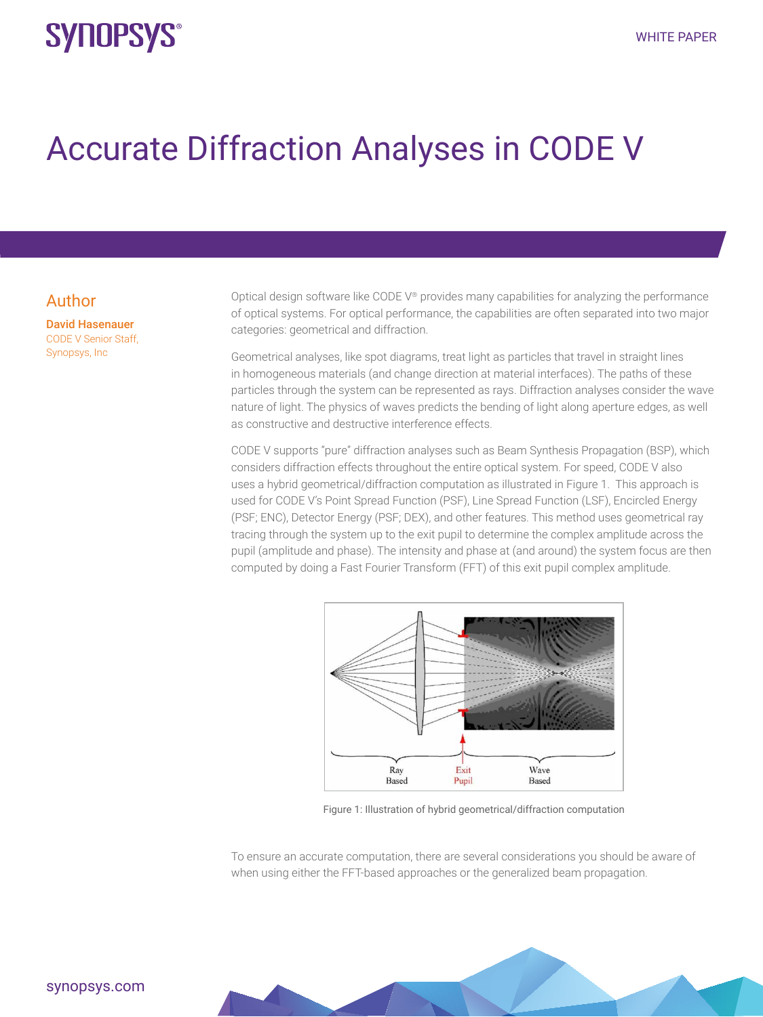## **SYNOPSYS®**

# Accurate Diffraction Analyses in CODE V

#### Author

David Hasenauer CODE V Senior Staff, Synopsys, Inc

Optical design software like CODE V® provides many capabilities for analyzing the performance of optical systems. For optical performance, the capabilities are often separated into two major categories: geometrical and diffraction.

Geometrical analyses, like spot diagrams, treat light as particles that travel in straight lines in homogeneous materials (and change direction at material interfaces). The paths of these particles through the system can be represented as rays. Diffraction analyses consider the wave nature of light. The physics of waves predicts the bending of light along aperture edges, as well as constructive and destructive interference effects.

CODE V supports "pure" diffraction analyses such as Beam Synthesis Propagation (BSP), which considers diffraction effects throughout the entire optical system. For speed, CODE V also uses a hybrid geometrical/diffraction computation as illustrated in Figure 1. This approach is used for CODE V's Point Spread Function (PSF), Line Spread Function (LSF), Encircled Energy (PSF; ENC), Detector Energy (PSF; DEX), and other features. This method uses geometrical ray tracing through the system up to the exit pupil to determine the complex amplitude across the pupil (amplitude and phase). The intensity and phase at (and around) the system focus are then computed by doing a Fast Fourier Transform (FFT) of this exit pupil complex amplitude.



Figure 1: Illustration of hybrid geometrical/diffraction computation

To ensure an accurate computation, there are several considerations you should be aware of when using either the FFT-based approaches or the generalized beam propagation.

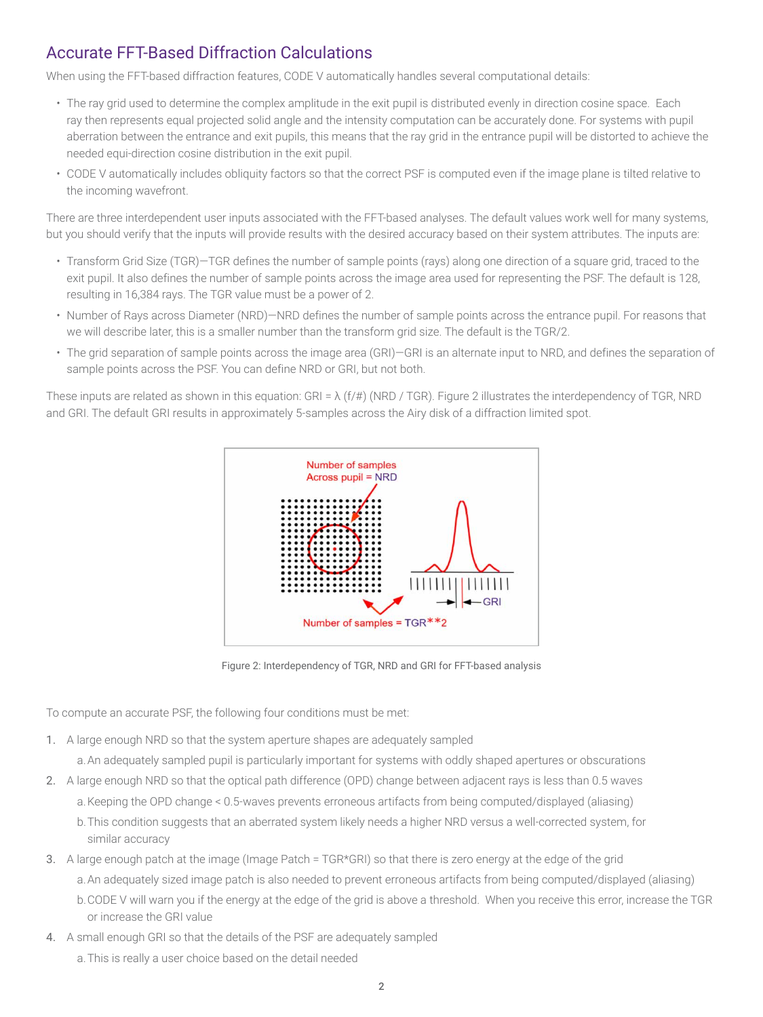## Accurate FFT-Based Diffraction Calculations

When using the FFT-based diffraction features, CODE V automatically handles several computational details:

- The ray grid used to determine the complex amplitude in the exit pupil is distributed evenly in direction cosine space. Each ray then represents equal projected solid angle and the intensity computation can be accurately done. For systems with pupil aberration between the entrance and exit pupils, this means that the ray grid in the entrance pupil will be distorted to achieve the needed equi-direction cosine distribution in the exit pupil.
- CODE V automatically includes obliquity factors so that the correct PSF is computed even if the image plane is tilted relative to the incoming wavefront.

There are three interdependent user inputs associated with the FFT-based analyses. The default values work well for many systems, but you should verify that the inputs will provide results with the desired accuracy based on their system attributes. The inputs are:

- Transform Grid Size (TGR)—TGR defines the number of sample points (rays) along one direction of a square grid, traced to the exit pupil. It also defines the number of sample points across the image area used for representing the PSF. The default is 128, resulting in 16,384 rays. The TGR value must be a power of 2.
- Number of Rays across Diameter (NRD)—NRD defines the number of sample points across the entrance pupil. For reasons that we will describe later, this is a smaller number than the transform grid size. The default is the TGR/2.
- The grid separation of sample points across the image area (GRI)—GRI is an alternate input to NRD, and defines the separation of sample points across the PSF. You can define NRD or GRI, but not both.

These inputs are related as shown in this equation: GRI =  $\lambda$  (f/#) (NRD / TGR). Figure 2 illustrates the interdependency of TGR, NRD and GRI. The default GRI results in approximately 5-samples across the Airy disk of a diffraction limited spot.



Figure 2: Interdependency of TGR, NRD and GRI for FFT-based analysis

To compute an accurate PSF, the following four conditions must be met:

- 1. A large enough NRD so that the system aperture shapes are adequately sampled
	- a.An adequately sampled pupil is particularly important for systems with oddly shaped apertures or obscurations
- 2. A large enough NRD so that the optical path difference (OPD) change between adjacent rays is less than 0.5 waves
	- a.Keeping the OPD change < 0.5-waves prevents erroneous artifacts from being computed/displayed (aliasing)
	- b.This condition suggests that an aberrated system likely needs a higher NRD versus a well-corrected system, for similar accuracy
- 3. A large enough patch at the image (Image Patch = TGR\*GRI) so that there is zero energy at the edge of the grid
	- a.An adequately sized image patch is also needed to prevent erroneous artifacts from being computed/displayed (aliasing)
	- b.CODE V will warn you if the energy at the edge of the grid is above a threshold. When you receive this error, increase the TGR or increase the GRI value
- 4. A small enough GRI so that the details of the PSF are adequately sampled
	- a.This is really a user choice based on the detail needed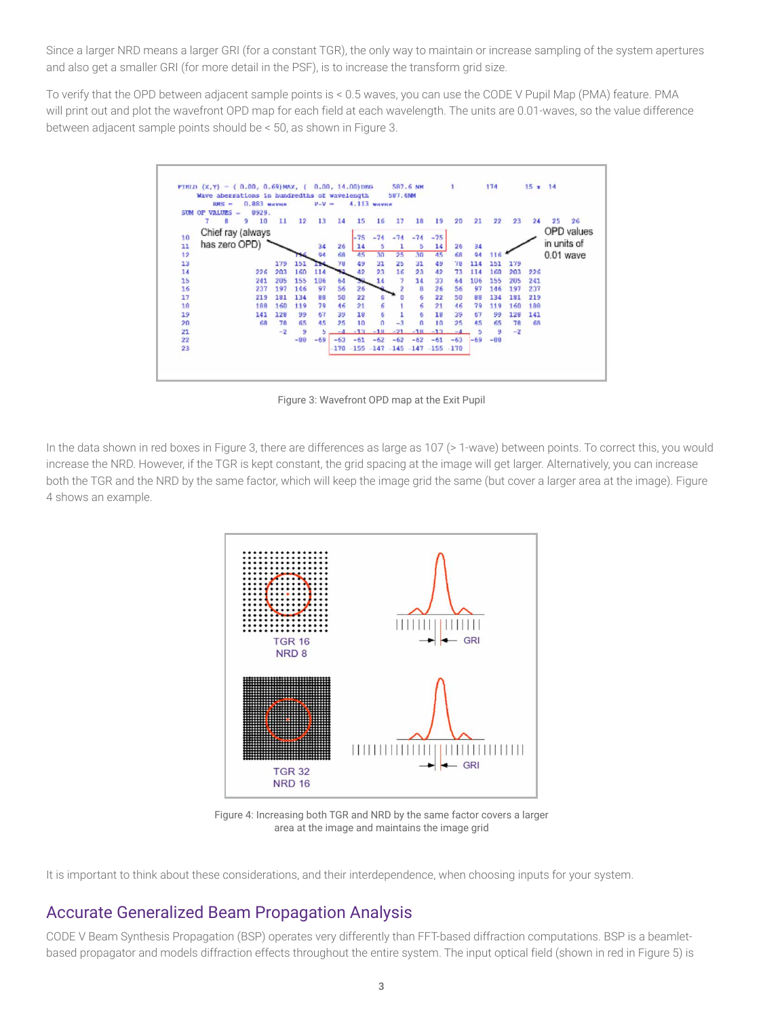Since a larger NRD means a larger GRI (for a constant TGR), the only way to maintain or increase sampling of the system apertures and also get a smaller GRI (for more detail in the PSF), is to increase the transform grid size.

To verify that the OPD between adjacent sample points is < 0.5 waves, you can use the CODE V Pupil Map (PMA) feature. PMA will print out and plot the wavefront OPD map for each field at each wavelength. The units are 0.01-waves, so the value difference between adjacent sample points should be < 50, as shown in Figure 3.



Figure 3: Wavefront OPD map at the Exit Pupil

In the data shown in red boxes in Figure 3, there are differences as large as 107 (> 1-wave) between points. To correct this, you would increase the NRD. However, if the TGR is kept constant, the grid spacing at the image will get larger. Alternatively, you can increase both the TGR and the NRD by the same factor, which will keep the image grid the same (but cover a larger area at the image). Figure 4 shows an example.



Figure 4: Increasing both TGR and NRD by the same factor covers a larger area at the image and maintains the image grid

It is important to think about these considerations, and their interdependence, when choosing inputs for your system.

### Accurate Generalized Beam Propagation Analysis

CODE V Beam Synthesis Propagation (BSP) operates very differently than FFT-based diffraction computations. BSP is a beamletbased propagator and models diffraction effects throughout the entire system. The input optical field (shown in red in Figure 5) is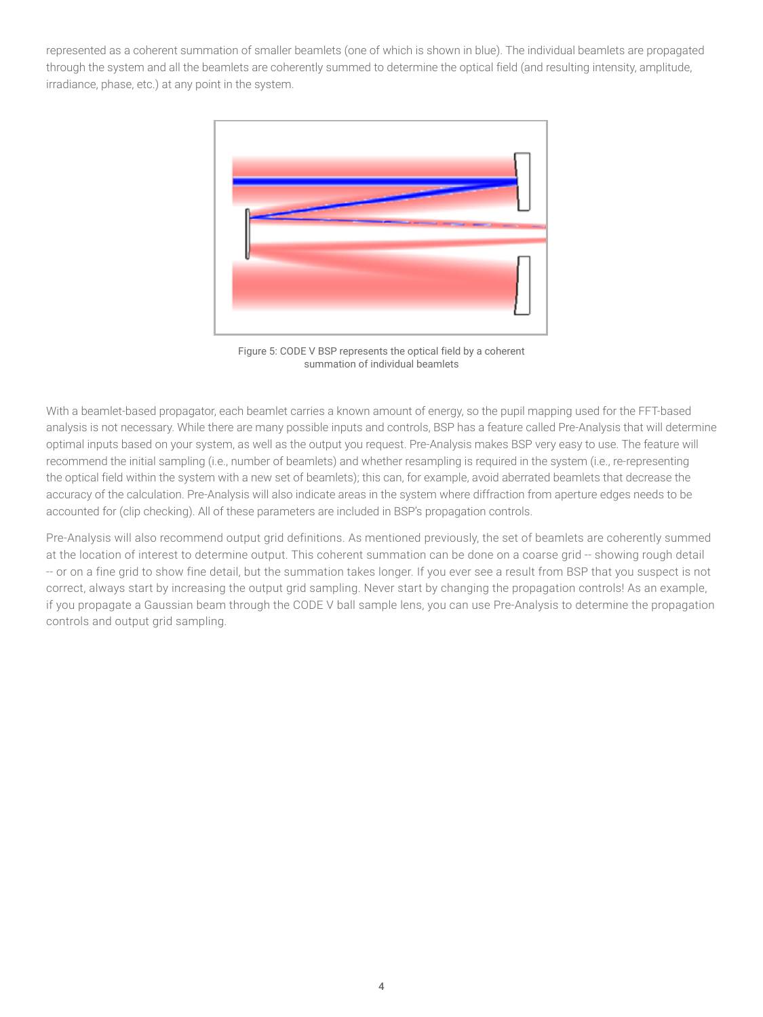represented as a coherent summation of smaller beamlets (one of which is shown in blue). The individual beamlets are propagated through the system and all the beamlets are coherently summed to determine the optical field (and resulting intensity, amplitude, irradiance, phase, etc.) at any point in the system.



Figure 5: CODE V BSP represents the optical field by a coherent summation of individual beamlets

With a beamlet-based propagator, each beamlet carries a known amount of energy, so the pupil mapping used for the FFT-based analysis is not necessary. While there are many possible inputs and controls, BSP has a feature called Pre-Analysis that will determine optimal inputs based on your system, as well as the output you request. Pre-Analysis makes BSP very easy to use. The feature will recommend the initial sampling (i.e., number of beamlets) and whether resampling is required in the system (i.e., re-representing the optical field within the system with a new set of beamlets); this can, for example, avoid aberrated beamlets that decrease the accuracy of the calculation. Pre-Analysis will also indicate areas in the system where diffraction from aperture edges needs to be accounted for (clip checking). All of these parameters are included in BSP's propagation controls.

Pre-Analysis will also recommend output grid definitions. As mentioned previously, the set of beamlets are coherently summed at the location of interest to determine output. This coherent summation can be done on a coarse grid -- showing rough detail -- or on a fine grid to show fine detail, but the summation takes longer. If you ever see a result from BSP that you suspect is not correct, always start by increasing the output grid sampling. Never start by changing the propagation controls! As an example, if you propagate a Gaussian beam through the CODE V ball sample lens, you can use Pre-Analysis to determine the propagation controls and output grid sampling.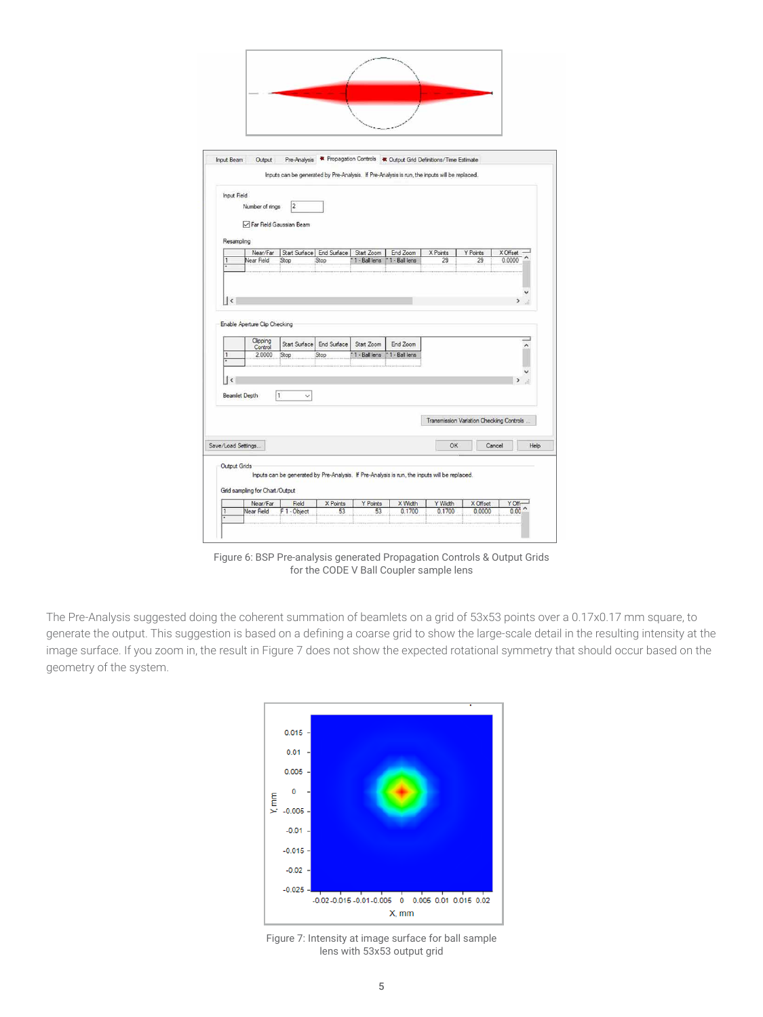| Input Beam                         | Output                         |                                                                                               |                           |               |                    | Pre-Analysis * Propagation Controls * Output Grid Definitions/Time Estimate |                                          |              |      |
|------------------------------------|--------------------------------|-----------------------------------------------------------------------------------------------|---------------------------|---------------|--------------------|-----------------------------------------------------------------------------|------------------------------------------|--------------|------|
|                                    |                                | Inputs can be generated by Pre-Analysis. If Pre-Analysis is run, the inputs will be replaced. |                           |               |                    |                                                                             |                                          |              |      |
| Input Field                        |                                |                                                                                               |                           |               |                    |                                                                             |                                          |              |      |
|                                    | Number of rings                | $\overline{2}$                                                                                |                           |               |                    |                                                                             |                                          |              |      |
|                                    | Far Field Gaussian Beam        |                                                                                               |                           |               |                    |                                                                             |                                          |              |      |
| Resampling                         |                                |                                                                                               |                           |               |                    |                                                                             |                                          |              |      |
|                                    | Near/Far                       |                                                                                               | Start Surface End Surface | Start Zoom    | End Zoom           | X Points                                                                    | Y Points                                 | X Offset     |      |
| 1                                  | Near Field                     | Stop                                                                                          | Stop                      | 1 - Ball lens | 1 - Ball lens<br>× | 29                                                                          | 29                                       | 0.0000       |      |
| $\vert$ <                          |                                |                                                                                               |                           |               |                    |                                                                             |                                          | $\mathbf{z}$ |      |
|                                    |                                |                                                                                               |                           |               |                    |                                                                             |                                          |              |      |
|                                    | Enable Aperture Clip Checking  |                                                                                               |                           |               |                    |                                                                             |                                          |              |      |
|                                    | Clipping<br>Control            |                                                                                               | Start Surface End Surface | Start Zoom    | End Zoom           |                                                                             |                                          |              | ×    |
| л                                  | 2.0000                         | Stop                                                                                          | Stop                      | 1 - Ball lens | *1 - Ball lens     |                                                                             |                                          |              |      |
|                                    |                                |                                                                                               |                           |               |                    |                                                                             |                                          |              |      |
|                                    |                                |                                                                                               |                           |               |                    |                                                                             |                                          |              |      |
| $\hat{~}$                          |                                |                                                                                               |                           |               |                    |                                                                             |                                          |              |      |
| Beamlet Depth                      |                                | $\vert$ 1<br>$\checkmark$                                                                     |                           |               |                    |                                                                             |                                          |              |      |
|                                    |                                |                                                                                               |                           |               |                    |                                                                             |                                          |              |      |
|                                    |                                |                                                                                               |                           |               |                    |                                                                             | Transmission Variation Checking Controls |              |      |
|                                    |                                |                                                                                               |                           |               |                    | OK                                                                          |                                          | Cancel       | Help |
| Save/Load Settings<br>Output Grids |                                |                                                                                               |                           |               |                    |                                                                             |                                          |              |      |
|                                    |                                | Inputs can be generated by Pre-Analysis. If Pre-Analysis is run, the inputs will be replaced. |                           |               |                    |                                                                             |                                          |              |      |
|                                    | Grid sampling for Chart/Output |                                                                                               |                           |               |                    |                                                                             |                                          |              |      |

Figure 6: BSP Pre-analysis generated Propagation Controls & Output Grids for the CODE V Ball Coupler sample lens

The Pre-Analysis suggested doing the coherent summation of beamlets on a grid of 53x53 points over a 0.17x0.17 mm square, to generate the output. This suggestion is based on a defining a coarse grid to show the large-scale detail in the resulting intensity at the image surface. If you zoom in, the result in Figure 7 does not show the expected rotational symmetry that should occur based on the geometry of the system.



Figure 7: Intensity at image surface for ball sample lens with 53x53 output grid